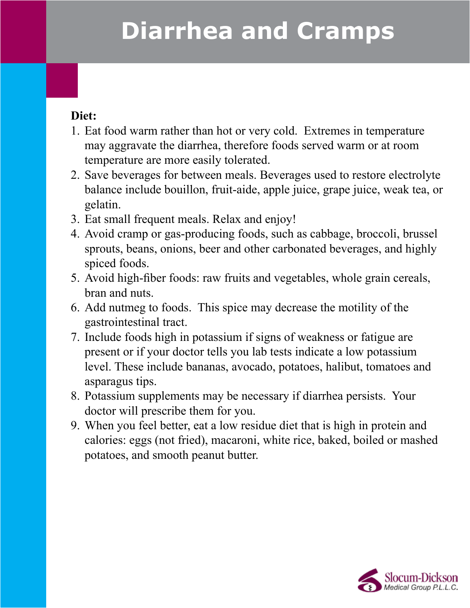# **Diarrhea and Cramps**

#### **Diet:**

- 1. Eat food warm rather than hot or very cold. Extremes in temperature may aggravate the diarrhea, therefore foods served warm or at room temperature are more easily tolerated.
- 2. Save beverages for between meals. Beverages used to restore electrolyte balance include bouillon, fruit-aide, apple juice, grape juice, weak tea, or gelatin.
- 3. Eat small frequent meals. Relax and enjoy!
- 4. Avoid cramp or gas-producing foods, such as cabbage, broccoli, brussel sprouts, beans, onions, beer and other carbonated beverages, and highly spiced foods.
- 5. Avoid high-fiber foods: raw fruits and vegetables, whole grain cereals, bran and nuts.
- 6. Add nutmeg to foods. This spice may decrease the motility of the gastrointestinal tract.
- 7. Include foods high in potassium if signs of weakness or fatigue are present or if your doctor tells you lab tests indicate a low potassium level. These include bananas, avocado, potatoes, halibut, tomatoes and asparagus tips.
- 8. Potassium supplements may be necessary if diarrhea persists. Your doctor will prescribe them for you.
- 9. When you feel better, eat a low residue diet that is high in protein and calories: eggs (not fried), macaroni, white rice, baked, boiled or mashed potatoes, and smooth peanut butter.